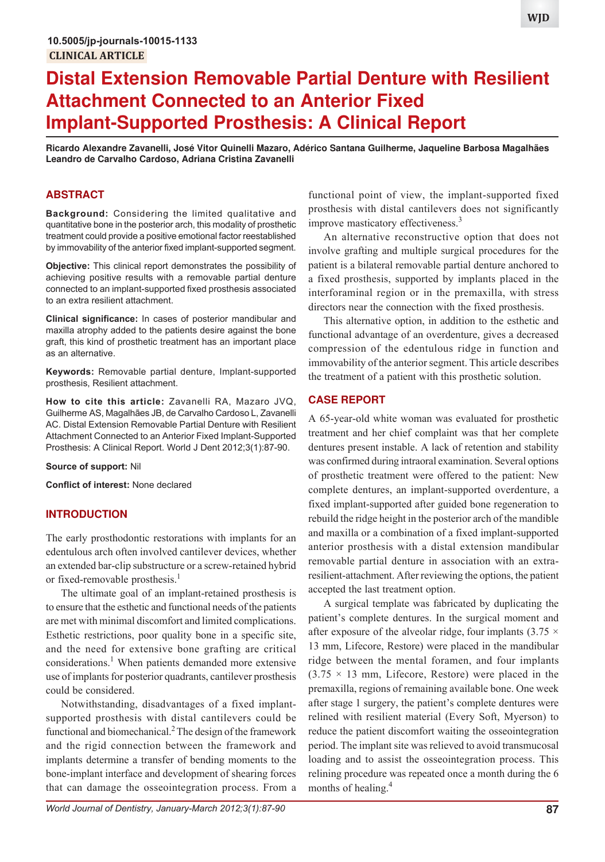# **Distal Extension Removable Partial Denture with Resilient Attachment Connected to an Anterior Fixed Implant-Supported Prosthesis: A Clinical Report**

**Ricardo Alexandre Zavanelli, José Vitor Quinelli Mazaro, Adérico Santana Guilherme, Jaqueline Barbosa Magalhães Leandro de Carvalho Cardoso, Adriana Cristina Zavanelli**

## **ABSTRACT**

**Background:** Considering the limited qualitative and quantitative bone in the posterior arch, this modality of prosthetic treatment could provide a positive emotional factor reestablished by immovability of the anterior fixed implant-supported segment.

**Objective:** This clinical report demonstrates the possibility of achieving positive results with a removable partial denture connected to an implant-supported fixed prosthesis associated to an extra resilient attachment.

**Clinical significance:** In cases of posterior mandibular and maxilla atrophy added to the patients desire against the bone graft, this kind of prosthetic treatment has an important place as an alternative.

**Keywords:** Removable partial denture, Implant-supported prosthesis, Resilient attachment.

**How to cite this article:** Zavanelli RA, Mazaro JVQ, Guilherme AS, Magalhães JB, de Carvalho Cardoso L, Zavanelli AC. Distal Extension Removable Partial Denture with Resilient Attachment Connected to an Anterior Fixed Implant-Supported Prosthesis: A Clinical Report. World J Dent 2012;3(1):87-90.

**Source of support:** Nil

**Conflict of interest:** None declared

#### **INTRODUCTION**

The early prosthodontic restorations with implants for an edentulous arch often involved cantilever devices, whether an extended bar-clip substructure or a screw-retained hybrid or fixed-removable prosthesis.<sup>1</sup>

The ultimate goal of an implant-retained prosthesis is to ensure that the esthetic and functional needs of the patients are met with minimal discomfort and limited complications. Esthetic restrictions, poor quality bone in a specific site, and the need for extensive bone grafting are critical considerations.<sup>1</sup> When patients demanded more extensive use of implants for posterior quadrants, cantilever prosthesis could be considered.

Notwithstanding, disadvantages of a fixed implantsupported prosthesis with distal cantilevers could be functional and biomechanical.<sup>2</sup> The design of the framework and the rigid connection between the framework and implants determine a transfer of bending moments to the bone-implant interface and development of shearing forces that can damage the osseointegration process. From a

functional point of view, the implant-supported fixed prosthesis with distal cantilevers does not significantly improve masticatory effectiveness.<sup>3</sup>

An alternative reconstructive option that does not involve grafting and multiple surgical procedures for the patient is a bilateral removable partial denture anchored to a fixed prosthesis, supported by implants placed in the interforaminal region or in the premaxilla, with stress directors near the connection with the fixed prosthesis.

This alternative option, in addition to the esthetic and functional advantage of an overdenture, gives a decreased compression of the edentulous ridge in function and immovability of the anterior segment. This article describes the treatment of a patient with this prosthetic solution.

## **CASE REPORT**

A 65-year-old white woman was evaluated for prosthetic treatment and her chief complaint was that her complete dentures present instable. A lack of retention and stability was confirmed during intraoral examination. Several options of prosthetic treatment were offered to the patient: New complete dentures, an implant-supported overdenture, a fixed implant-supported after guided bone regeneration to rebuild the ridge height in the posterior arch of the mandible and maxilla or a combination of a fixed implant-supported anterior prosthesis with a distal extension mandibular removable partial denture in association with an extraresilient-attachment. After reviewing the options, the patient accepted the last treatment option.

A surgical template was fabricated by duplicating the patient's complete dentures. In the surgical moment and after exposure of the alveolar ridge, four implants  $(3.75 \times$ 13 mm, Lifecore, Restore) were placed in the mandibular ridge between the mental foramen, and four implants  $(3.75 \times 13 \text{ mm})$ , Lifecore, Restore) were placed in the premaxilla, regions of remaining available bone. One week after stage 1 surgery, the patient's complete dentures were relined with resilient material (Every Soft, Myerson) to reduce the patient discomfort waiting the osseointegration period. The implant site was relieved to avoid transmucosal loading and to assist the osseointegration process. This relining procedure was repeated once a month during the 6 months of healing.<sup>4</sup>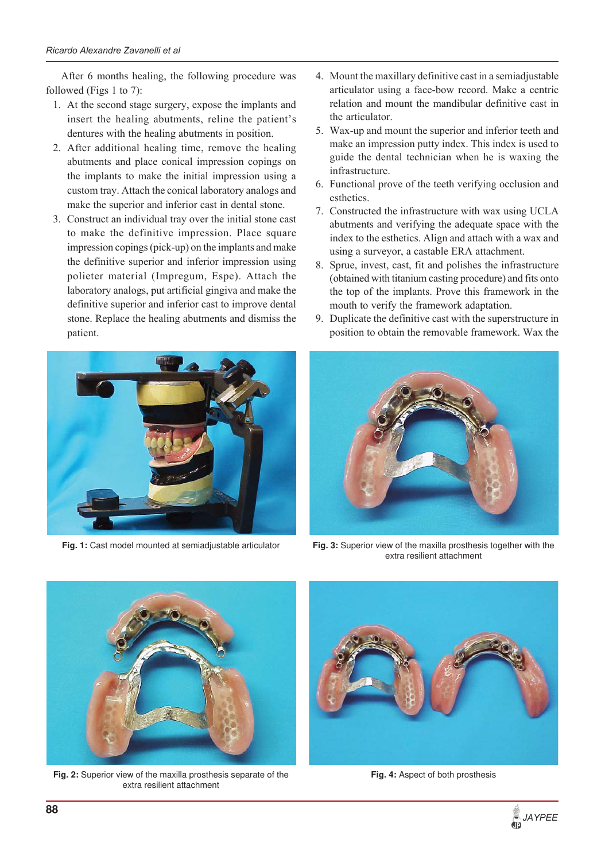After 6 months healing, the following procedure was followed (Figs 1 to 7):

- 1. At the second stage surgery, expose the implants and insert the healing abutments, reline the patient's dentures with the healing abutments in position.
- 2. After additional healing time, remove the healing abutments and place conical impression copings on the implants to make the initial impression using a custom tray. Attach the conical laboratory analogs and make the superior and inferior cast in dental stone.
- 3. Construct an individual tray over the initial stone cast to make the definitive impression. Place square impression copings (pick-up) on the implants and make the definitive superior and inferior impression using polieter material (Impregum, Espe). Attach the laboratory analogs, put artificial gingiva and make the definitive superior and inferior cast to improve dental stone. Replace the healing abutments and dismiss the patient.



**Fig. 1:** Cast model mounted at semiadjustable articulator

- 4. Mount the maxillary definitive cast in a semiadjustable articulator using a face-bow record. Make a centric relation and mount the mandibular definitive cast in the articulator.
- 5. Wax-up and mount the superior and inferior teeth and make an impression putty index. This index is used to guide the dental technician when he is waxing the infrastructure.
- 6. Functional prove of the teeth verifying occlusion and esthetics.
- 7. Constructed the infrastructure with wax using UCLA abutments and verifying the adequate space with the index to the esthetics. Align and attach with a wax and using a surveyor, a castable ERA attachment.
- 8. Sprue, invest, cast, fit and polishes the infrastructure (obtained with titanium casting procedure) and fits onto the top of the implants. Prove this framework in the mouth to verify the framework adaptation.
- 9. Duplicate the definitive cast with the superstructure in position to obtain the removable framework. Wax the



**Fig. 3:** Superior view of the maxilla prosthesis together with the extra resilient attachment



**Fig. 2:** Superior view of the maxilla prosthesis separate of the extra resilient attachment



**Fig. 4:** Aspect of both prosthesis

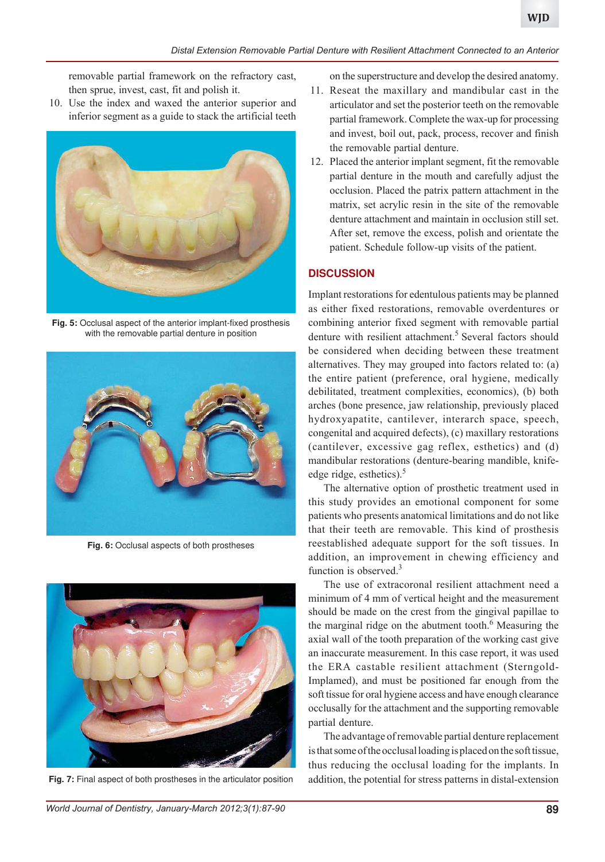removable partial framework on the refractory cast, then sprue, invest, cast, fit and polish it.

10. Use the index and waxed the anterior superior and inferior segment as a guide to stack the artificial teeth



**Fig. 5:** Occlusal aspect of the anterior implant-fixed prosthesis with the removable partial denture in position



**Fig. 6:** Occlusal aspects of both prostheses



**Fig. 7:** Final aspect of both prostheses in the articulator position

on the superstructure and develop the desired anatomy.

- 11. Reseat the maxillary and mandibular cast in the articulator and set the posterior teeth on the removable partial framework. Complete the wax-up for processing and invest, boil out, pack, process, recover and finish the removable partial denture.
- 12. Placed the anterior implant segment, fit the removable partial denture in the mouth and carefully adjust the occlusion. Placed the patrix pattern attachment in the matrix, set acrylic resin in the site of the removable denture attachment and maintain in occlusion still set. After set, remove the excess, polish and orientate the patient. Schedule follow-up visits of the patient.

## **DISCUSSION**

Implant restorations for edentulous patients may be planned as either fixed restorations, removable overdentures or combining anterior fixed segment with removable partial denture with resilient attachment.<sup>5</sup> Several factors should be considered when deciding between these treatment alternatives. They may grouped into factors related to: (a) the entire patient (preference, oral hygiene, medically debilitated, treatment complexities, economics), (b) both arches (bone presence, jaw relationship, previously placed hydroxyapatite, cantilever, interarch space, speech, congenital and acquired defects), (c) maxillary restorations (cantilever, excessive gag reflex, esthetics) and (d) mandibular restorations (denture-bearing mandible, knifeedge ridge, esthetics). $5$ 

The alternative option of prosthetic treatment used in this study provides an emotional component for some patients who presents anatomical limitations and do not like that their teeth are removable. This kind of prosthesis reestablished adequate support for the soft tissues. In addition, an improvement in chewing efficiency and function is observed.<sup>3</sup>

The use of extracoronal resilient attachment need a minimum of 4 mm of vertical height and the measurement should be made on the crest from the gingival papillae to the marginal ridge on the abutment tooth.<sup>6</sup> Measuring the axial wall of the tooth preparation of the working cast give an inaccurate measurement. In this case report, it was used the ERA castable resilient attachment (Sterngold-Implamed), and must be positioned far enough from the soft tissue for oral hygiene access and have enough clearance occlusally for the attachment and the supporting removable partial denture.

The advantage of removable partial denture replacement is that some of the occlusal loading is placed on the soft tissue, thus reducing the occlusal loading for the implants. In addition, the potential for stress patterns in distal-extension